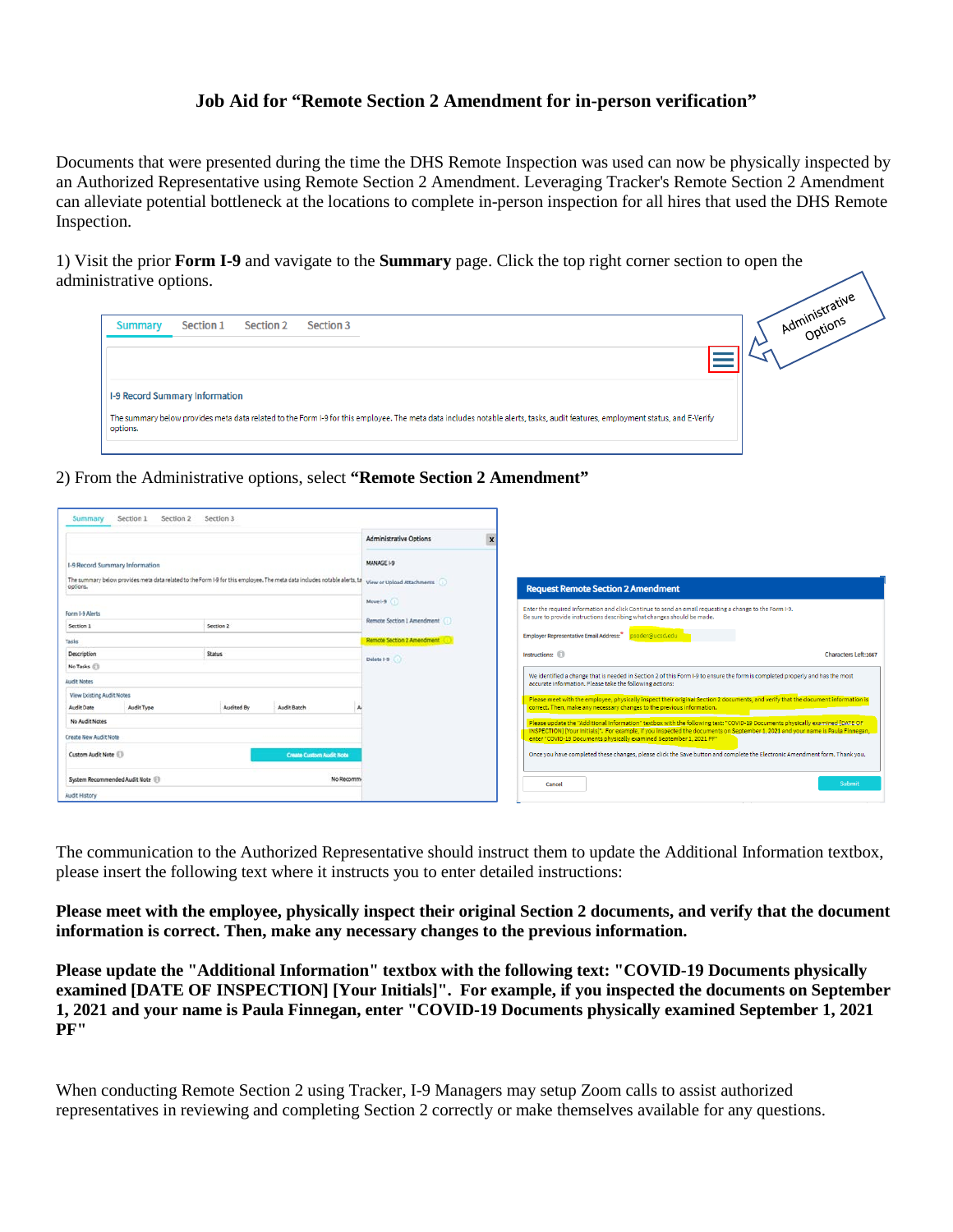## **Job Aid for "Remote Section 2 Amendment for in-person verification"**

Documents that were presented during the time the DHS Remote Inspection was used can now be physically inspected by an Authorized Representative using Remote Section 2 Amendment. Leveraging Tracker's Remote Section 2 Amendment can alleviate potential bottleneck at the locations to complete in-person inspection for all hires that used the DHS Remote Inspection.

1) Visit the prior **Form I-9** and vavigate to the **Summary** page. Click the top right corner section to open the administrative options.

| Section 3<br>Section 1<br><b>Section 2</b><br><b>Summary</b>                                                                                                                                                                       | Administrations |
|------------------------------------------------------------------------------------------------------------------------------------------------------------------------------------------------------------------------------------|-----------------|
| <b>I-9 Record Summary Information</b><br>The summary below provides meta data related to the Form I-9 for this employee. The meta data includes notable alerts, tasks, audit features, employment status, and E-Verify<br>options. |                 |
|                                                                                                                                                                                                                                    |                 |

sive

2) From the Administrative options, select **"Remote Section 2 Amendment"**

| Section 1<br>Summary                                                                                                                                                                                                   | Section 2<br>Section 3 |                                 |                                                                                                                                                                                                             |                                                                                                                                                                                                        |  |
|------------------------------------------------------------------------------------------------------------------------------------------------------------------------------------------------------------------------|------------------------|---------------------------------|-------------------------------------------------------------------------------------------------------------------------------------------------------------------------------------------------------------|--------------------------------------------------------------------------------------------------------------------------------------------------------------------------------------------------------|--|
|                                                                                                                                                                                                                        |                        |                                 | <b>Administrative Options</b><br>$\boldsymbol{\mathsf{x}}$                                                                                                                                                  |                                                                                                                                                                                                        |  |
| I-9 Record Summary Information<br>The summary below provides meta data related to the Form I-9 for this employee. The meta data includes notable alerts, tal view or Upload Attachments<br>options.<br>Form I-9 Alerts |                        |                                 | MANAGE I-9                                                                                                                                                                                                  |                                                                                                                                                                                                        |  |
|                                                                                                                                                                                                                        |                        |                                 |                                                                                                                                                                                                             | <b>Request Remote Section 2 Amendment</b>                                                                                                                                                              |  |
|                                                                                                                                                                                                                        |                        |                                 | Move 1-9 (i)<br>Enter the required information and click Continue to send an email requesting a change to the Form I-9.<br>Be sure to provide instructions describing what changes should be made.          |                                                                                                                                                                                                        |  |
| Section 2<br>Section 1                                                                                                                                                                                                 |                        | Remote Section 1 Amendment (ii) | Employer Representative Email Address: * psoder@ucsd.edu                                                                                                                                                    |                                                                                                                                                                                                        |  |
| Tasks<br>Description<br><b>Status</b><br>No Tasks (1)<br><b>Audit Notes</b><br><b>View Existing Audit Notes</b><br>Audit Type<br>Audit Batch<br>Audit Date<br>Audited By<br>No Audit Notes                             |                        | Remote Section 2 Amendment      |                                                                                                                                                                                                             |                                                                                                                                                                                                        |  |
|                                                                                                                                                                                                                        |                        | Delete 1-9                      | Instructions: (1)<br><b>Characters Left:1667</b>                                                                                                                                                            |                                                                                                                                                                                                        |  |
|                                                                                                                                                                                                                        |                        |                                 |                                                                                                                                                                                                             |                                                                                                                                                                                                        |  |
|                                                                                                                                                                                                                        |                        |                                 | We identified a change that is needed in Section 2 of this Form I-9 to ensure the form is completed properly and has the most<br>accurate information. Please take the following actions:                   |                                                                                                                                                                                                        |  |
|                                                                                                                                                                                                                        |                        |                                 | Please meet with the employee, physically inspect their original Section 2 documents, and verify that the document information is<br>correct. Then, make any necessary changes to the previous information. |                                                                                                                                                                                                        |  |
|                                                                                                                                                                                                                        |                        |                                 | Please update the "Additional Information" textbox with the following text: "COVID-19 Documents physically examined [DATE OF                                                                                |                                                                                                                                                                                                        |  |
| Create New Audit Note                                                                                                                                                                                                  |                        |                                 |                                                                                                                                                                                                             | TNSPECTION] [Your Initials]". For example, if you inspected the documents on September 1, 2021 and your name is Paula Finnegan,<br>enter "COVID-19 Documents physically examined September 1, 2021 PF" |  |
| Custom Audit Note<br><b>Create Custom Audit Note</b>                                                                                                                                                                   |                        |                                 | Once you have completed these changes, please click the Save button and complete the Electronic Amendment form. Thank you,                                                                                  |                                                                                                                                                                                                        |  |
| System Recommended Audit Note<br>No Recomm                                                                                                                                                                             |                        |                                 | Submit<br>Cancel                                                                                                                                                                                            |                                                                                                                                                                                                        |  |
| <b>Audit History</b>                                                                                                                                                                                                   |                        |                                 |                                                                                                                                                                                                             |                                                                                                                                                                                                        |  |

The communication to the Authorized Representative should instruct them to update the Additional Information textbox, please insert the following text where it instructs you to enter detailed instructions:

**Please meet with the employee, physically inspect their original Section 2 documents, and verify that the document information is correct. Then, make any necessary changes to the previous information.** 

**Please update the "Additional Information" textbox with the following text: "COVID-19 Documents physically examined [DATE OF INSPECTION] [Your Initials]". For example, if you inspected the documents on September 1, 2021 and your name is Paula Finnegan, enter "COVID-19 Documents physically examined September 1, 2021 PF"**

When conducting Remote Section 2 using Tracker, I-9 Managers may setup Zoom calls to assist authorized representatives in reviewing and completing Section 2 correctly or make themselves available for any questions.